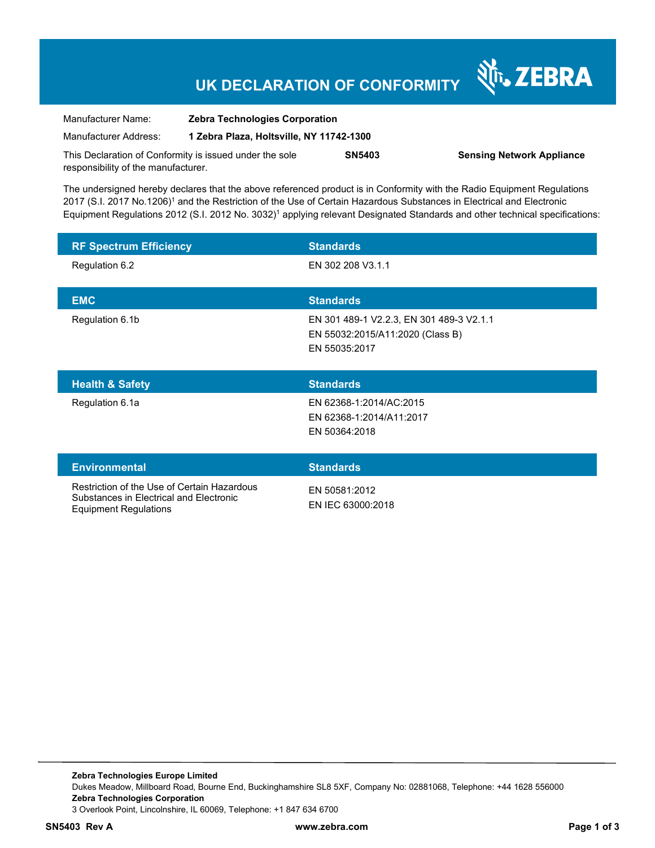### **UK DECLARATION OF CONFORMITY**

Nr. ZEBRA

| Manufacturer Name:                                      | <b>Zebra Technologies Corporation</b>    |        |                                  |
|---------------------------------------------------------|------------------------------------------|--------|----------------------------------|
| Manufacturer Address:                                   | 1 Zebra Plaza, Holtsville, NY 11742-1300 |        |                                  |
| This Declaration of Conformity is issued under the sole |                                          | SN5403 | <b>Sensing Network Appliance</b> |
| responsibility of the manufacturer.                     |                                          |        |                                  |

The undersigned hereby declares that the above referenced product is in Conformity with the Radio Equipment Regulations 2017 (S.I. 2017 No.1206)<sup>1</sup> and the Restriction of the Use of Certain Hazardous Substances in Electrical and Electronic Equipment Regulations 2012 (S.I. 2012 No. 3032)<sup>1</sup> applying relevant Designated Standards and other technical specifications:

| <b>RF Spectrum Efficiency</b> | <b>Standards</b>                                                                              |
|-------------------------------|-----------------------------------------------------------------------------------------------|
| Regulation 6.2                | EN 302 208 V3.1.1                                                                             |
| <b>EMC</b>                    | <b>Standards</b>                                                                              |
| Regulation 6.1b               | EN 301 489-1 V2.2.3, EN 301 489-3 V2.1.1<br>EN 55032:2015/A11:2020 (Class B)<br>EN 55035:2017 |
| <b>Health &amp; Safety</b>    | <b>Standards</b>                                                                              |
|                               |                                                                                               |
| Regulation 6.1a               | EN 62368-1:2014/AC:2015<br>EN 62368-1:2014/A11:2017<br>EN 50364:2018                          |
| <b>Environmental</b>          | <b>Standards</b>                                                                              |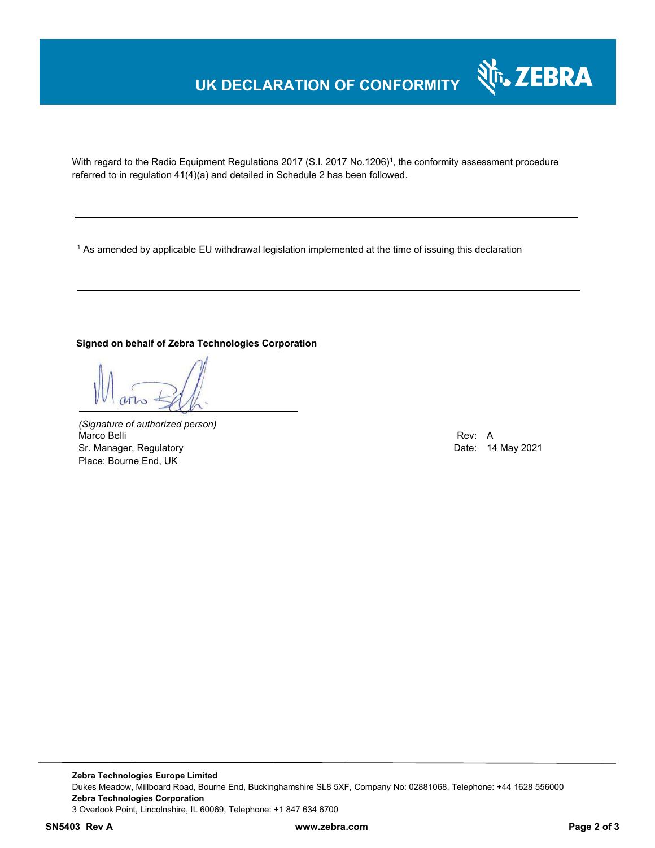# **UK DECLARATION OF CONFORMITY**



With regard to the Radio Equipment Regulations 2017 (S.I. 2017 No.1206)<sup>1</sup>, the conformity assessment procedure referred to in regulation 41(4)(a) and detailed in Schedule 2 has been followed.

 $^{\rm 1}$  As amended by applicable EU withdrawal legislation implemented at the time of issuing this declaration

#### **Signed on behalf of Zebra Technologies Corporation**

*(Signature of authorized person)* Marco Belli Rev: A Alexander Communication of the Communication of the Communication of the Communication of the Communication of the Communication of the Communication of the Communication of the Communication of the Comm Sr. Manager, Regulatory **Date: 14 May 2021** Place: Bourne End, UK